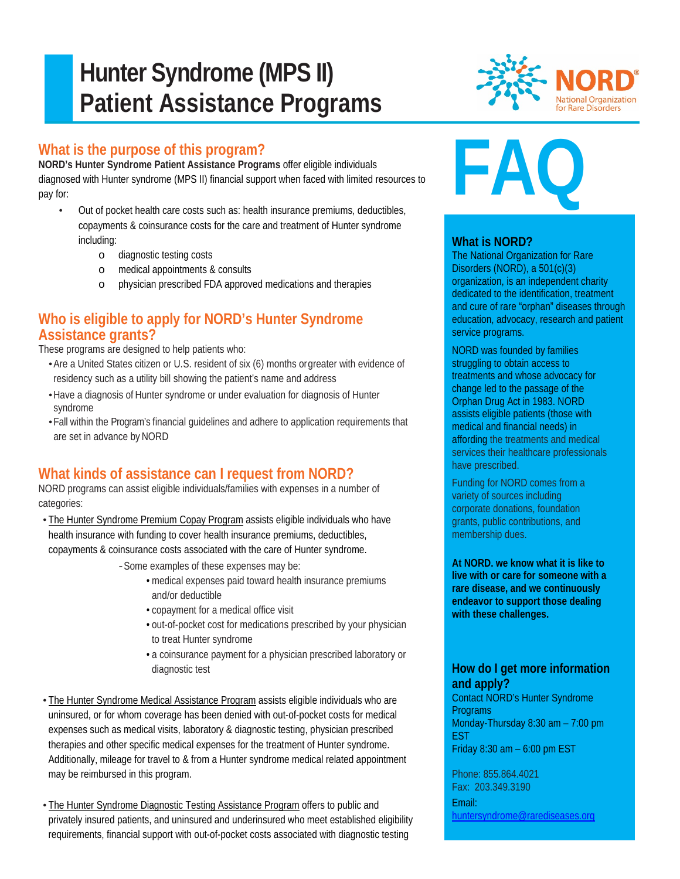# **Hunter Syndrome (MPS II) Patient Assistance Programs**

# **What is the purpose of this program?**

Ī

**NORD's Hunter Syndrome Patient Assistance Programs** offer eligible individuals diagnosed with Hunter syndrome (MPS II) financial support when faced with limited resources to pay for:

- Out of pocket health care costs such as: health insurance premiums, deductibles, copayments & coinsurance costs for the care and treatment of Hunter syndrome including:
	- o diagnostic testing costs
	- o medical appointments & consults
	- o physician prescribed FDA approved medications and therapies

## **Who is eligible to apply for NORD's Hunter Syndrome Assistance grants?**

These programs are designed to help patients who:

- •Are a United States citizen or U.S. resident of six (6) months orgreater with evidence of residency such as a utility bill showing the patient's name and address
- •Have a diagnosis of Hunter syndrome or under evaluation for diagnosis of Hunter syndrome
- •Fall within the Program's financial guidelines and adhere to application requirements that are set in advance by NORD

# **What kinds of assistance can I request from NORD?**

NORD programs can assist eligible individuals/families with expenses in a number of categories:

• The Hunter Syndrome Premium Copay Program assists eligible individuals who have health insurance with funding to cover health insurance premiums, deductibles, copayments & coinsurance costs associated with the care of Hunter syndrome.

*-*Some examples of these expenses may be:

- medical expenses paid toward health insurance premiums and/or deductible
- copayment for a medical office visit
- out-of-pocket cost for medications prescribed by your physician to treat Hunter syndrome
- a coinsurance payment for a physician prescribed laboratory or diagnostic test
- The Hunter Syndrome Medical Assistance Program assists eligible individuals who are uninsured, or for whom coverage has been denied with out-of-pocket costs for medical expenses such as medical visits, laboratory & diagnostic testing, physician prescribed therapies and other specific medical expenses for the treatment of Hunter syndrome. Additionally, mileage for travel to & from a Hunter syndrome medical related appointment may be reimbursed in this program.
- The Hunter Syndrome Diagnostic Testing Assistance Program offers to public and privately insured patients, and uninsured and underinsured who meet established eligibility requirements, financial support with out-of-pocket costs associated with diagnostic testing



# **FAQ**

#### **What is NORD?**

The National Organization for Rare Disorders (NORD), a 501(c)(3) organization, is an independent charity dedicated to the identification, treatment and cure of rare "orphan" diseases through education, advocacy, research and patient service programs.

NORD was founded by families struggling to obtain access to treatments and whose advocacy for change led to the passage of the Orphan Drug Act in 1983. NORD assists eligible patients (those with medical and financial needs) in affording the treatments and medical services their healthcare professionals have prescribed.

Funding for NORD comes from a variety of sources including corporate donations, foundation grants, public contributions, and membership dues.

**At NORD. we know what it is like to live with or care for someone with a rare disease, and we continuously endeavor to support those dealing with these challenges.**

### **How do I get more information and apply?**

Contact NORD's Hunter Syndrome **Programs** Monday-Thursday 8:30 am – 7:00 pm EST Friday 8:30 am – 6:00 pm EST

Phone: 855.864.4021 Fax: 203.349.3190 Email: [huntersyndrome@rarediseases.org](mailto:huntersyndrome@rarediseases.org)